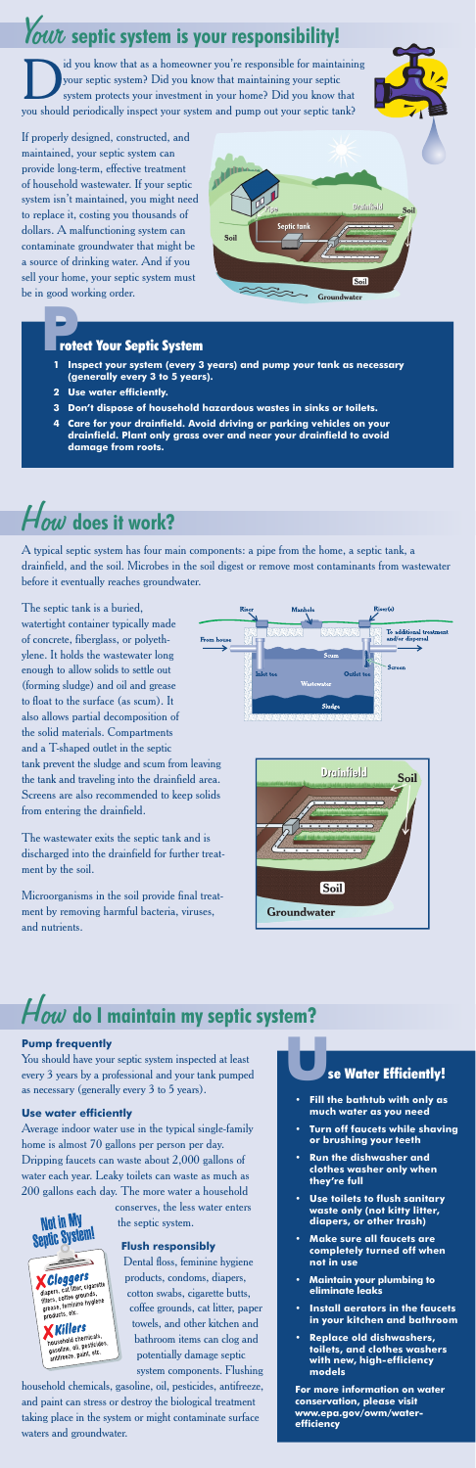### How **does it work?**

A typical septic system has four main components: a pipe from the home, a septic tank, a drainfield, and the soil. Microbes in the soil digest or remove most contaminants from wastewater before it eventually reaches groundwater.

The septic tank is a buried, watertight container typically made of concrete, fiberglass, or polyethylene. It holds the wastewater long enough to allow solids to settle out (forming sludge) and oil and grease to float to the surface (as scum). It also allows partial decomposition of the solid materials. Compartments and a T-shaped outlet in the septic tank prevent the sludge and scum from leaving the tank and traveling into the drainfield area. Screens are also recommended to keep solids from entering the drainfield.

I system protects your investment in your home? Did you know that maintaining your septic system protects your investment in your home? Did you know that your septic system? Did you know that maintaining your septic you should periodically inspect your system and pump out your septic tank?

The wastewater exits the septic tank and is discharged into the drainfield for further treatment by the soil.

Microorganisms in the soil provide final treatment by removing harmful bacteria, viruses, and nutrients.





## Your **septic system is your responsibility!**

If properly designed, constructed, and maintained, your septic system can provide long-term, effective treatment of household wastewater. If your septic system isn't maintained, you might need to replace it, costing you thousands of dollars. A malfunctioning system can contaminate groundwater that might be a source of drinking water. And if you sell your home, your septic system must be in good working order.



#### **Pump frequently**

You should have your septic system inspected at least every 3 years by a professional and your tank pumped se Water Efficiently!

as necessary (generally every 3 to 5 years).

#### **Use water efficiently**

Not in My **Septic System!** 

> *Cloggers* diapers, cat litter, cigarette<br>diapers, cat litter, cigarette<br>filters, coffee grounds, ilapers, coffee grounds,<br>filters, coffee grounds,<br>grease, feminine hygiene<br>products, etc. **Killers Killers**<br>household chemicals,<br>gasoline, oil, pesticides,<br>antifreeze, paint, etc.

Average indoor water use in the typical single-family home is almost 70 gallons per person per day. Dripping faucets can waste about 2,000 gallons of water each year. Leaky toilets can waste as much as 200 gallons each day. The more water a household

> conserves, the less water enters the septic system.

#### **Flush responsibly**

Dental floss, feminine hygiene products, condoms, diapers, cotton swabs, cigarette butts, coffee grounds, cat litter, paper towels, and other kitchen and bathroom items can clog and potentially damage septic system components. Flushing

household chemicals, gasoline, oil, pesticides, antifreeze, and paint can stress or destroy the biological treatment taking place in the system or might contaminate surface waters and groundwater.

- **Fill the bathtub with only as much water as you need**
- **Turn off faucets while shaving or brushing your teeth**
- **Run the dishwasher and clothes washer only when they're full**
- **Use toilets to flush sanitary waste only (not kitty litter, diapers, or other trash)**
- **Make sure all faucets are completely turned off when not in use**
- **Maintain your plumbing to eliminate leaks**
- **Install aerators in the faucets in your kitchen and bathroom**
- **Replace old dishwashers, toilets, and clothes washers with new, high-efficiency models**

**For more information on water conservation, please visit www.epa.gov/owm/waterefficiency**

### **P**rotect Your Septic System

- **1 Inspect your system (every 3 years) and pump your tank as necessary (generally every 3 to 5 years).**
- **2 Use water efficiently.**
- **3 Don't dispose of household hazardous wastes in sinks or toilets.**
- **4 Care for your drainfield. Avoid driving or parking vehicles on your drainfield. Plant only grass over and near your drainfield to avoid damage from roots.**

# How **do I maintain my septic system?**